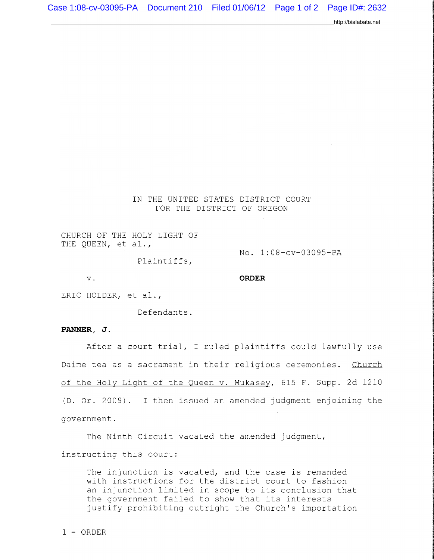http://bialabate.net

IN THE UNITED STATES DISTRICT COURT FOR THE DISTRICT OF OREGON

CHURCH OF THE HOLY LIGHT OF THE QUEEN, et al.,

No. 1:08-cv-03095-PA

Plaintiffs,

v. **ORDER** 

ERIC HOLDER, et al.,

Defendants.

## **PANNER, J.**

After a court trial, I ruled plaintiffs could lawfully use Daime tea as a sacrament in their religious ceremonies. Church of the Holy Light of the Queen v. Mukasey, 615 F. Supp. 2d 1210  $(D.$  Or. 2009). I then issued an amended judgment enjoining the government.

The Ninth Circuit vacated the amended judgment, instructing this court:

The injunction is vacated, and the case is remanded with instructions for the district court to fashion an injunction limited in scope to its conclusion that the government failed to show that its interests justify prohibiting outright the Church's importation